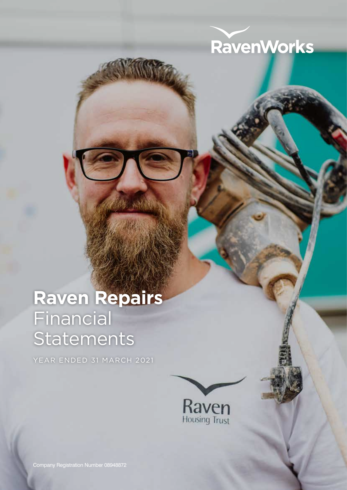

## **Raven Repairs** Financial **Statements**

YEAR ENDED 31 MARCH 2021



Company Registration Number 08948872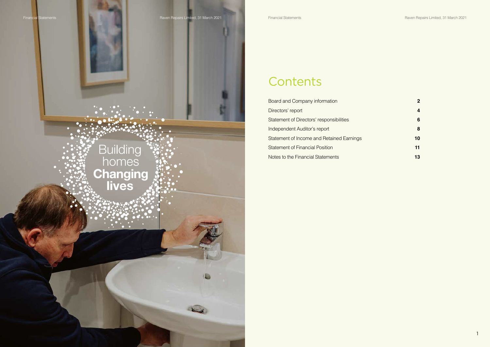

## **Contents**

Board and Company information **2 2** Directors' report **4** Statement of Directors' responsibilities **6** Independent Auditor's report **8** Statement of Income and Retained Earnings **10** Statement of Financial Position **11** Notes to the Financial Statements **13**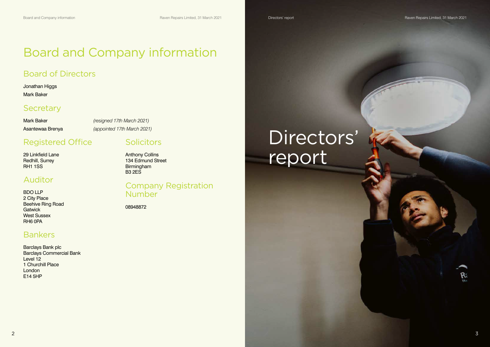# Directors' report

#### $2\overline{3}$



Ŗ.

## Board and Company information

## Board of Directors

#### Jonathan Higgs Mark Baker

## **Secretary**

Mark Baker *(resigned 17th March 2021)* Asantewaa Brenya *(appointed 17th March 2021)*

## Registered Office

29 Linkfield Lane Redhill, Surrey RH1 1SS

### Company Registration **Number**

## Auditor

BDO LLP 2 City Place Beehive Ring Road **Gatwick** West Sussex RH6 0PA

## Bankers

Barclays Bank plc Barclays Commercial Bank Level 12 1 Churchill Place London E14 5HP

### **Solicitors**

Anthony Collins 134 Edmund Street Birmingham B3 2ES

08948872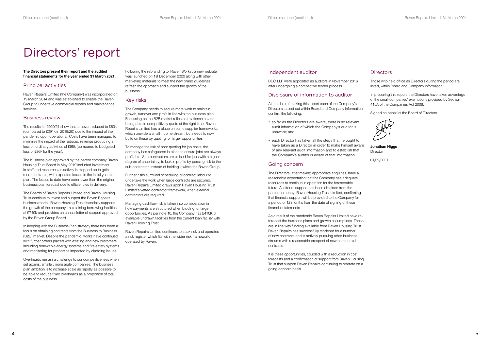Those who held office as Directors during the period are listed, within Board and Company information.

**Jonathan Higgs Director** 

In preparing this report, the Directors have taken advantage of the small companies' exemptions provided by Section 415A of the Companies Act 2006.

Signed on behalf of the Board of Directors

01/09/2021

#### Independent auditor

BDO LLP were appointed as auditors in November 2016 after undergoing a competitive tender process.

#### Disclosure of information to auditor

- so far as the Directors are aware, there is no relevant audit information of which the Company's auditor is unaware; and
- each Director has taken all the steps that he ought to have taken as a Director in order to make himself aware of any relevant audit information and to establish that the Company's auditor is aware of that information.

At the date of making this report each of the Company's Directors, as set out within Board and Company information, confirm the following:

#### Going concern

The Directors, after making appropriate enquiries, have a reasonable expectation that the Company has adequate resources to continue in operation for the foreseeable future. A letter of support has been obtained from the parent company, Raven Housing Trust Limited, confirming that financial support will be provided to the Company for a period of 12 months from the date of signing of these financial statements.

As a result of the pandemic Raven Repairs Limited have reforecast the business plans and growth assumptions. These are in line with funding available from Raven Housing Trust. Raven Repairs has successfully tendered for a number of new contracts and is actively pursuing other business streams with a reasonable prospect of new commercial contracts.

It is these opportunities, coupled with a reduction in cost forecasts and a confirmation of support from Raven Housing Trust that support Raven Repairs continuing to operate on a going concern basis.

#### **Directors**

## Directors' report

**The Directors present their report and the audited financial statements for the year ended 31 March 2021.**

#### Principal activities

Raven Repairs Limited (the Company) was incorporated on 19 March 2014 and was established to enable the Raven Group to undertake commercial repairs and maintenance services.

#### Business review

The results for 2020/21 show that turnover reduced to £63k (compared to £291k in 2019/20) due to the impact of the pandemic upon operations. Costs have been managed to minimise the impact of the reduced revenue producing a loss on ordinary activities of £95k (compared to budgeted loss of £96k for the year).

The business plan approved by the parent company Raven Housing Trust Board in May 2019 included investment in staff and resources as activity is stepped up to gain more contracts, with expected losses in the initial years of plan. The losses to date have been lower than the original business plan forecast due to efficiencies in delivery.

The Boards of Raven Repairs Limited and Raven Housing Trust continue to invest and support the Raven Repairs business model. Raven Housing Trust financially supports the growth of the company, maintaining borrowing facilities at £740k and provides an annual letter of support approved by the Raven Group Board.

In keeping with the Business Plan strategy there has been a focus on obtaining contracts from the Business to Business (B2B) market. Despite the pandemic, works have continued with further orders placed with existing and new customers including renewable energy systems and fire-safety systems and monitoring for properties impacted by cladding issues.

Overheads remain a challenge to our competitiveness when set against smaller, more agile companies. The business plan ambition is to increase scale as rapidly as possible to be able to reduce fixed overheads as a proportion of total costs of the business.

Following the rebranding to 'Raven Works', a new website was launched on 1st December 2020 along with other marketing materials to meet the new brand guidelines, refresh the approach and support the growth of the business.

#### Key risks

The Company needs to secure more work to maintain growth, turnover and profit in line with the business plan. Focussing on the B2B market relies on relationships and being able to competitively quote at the right time. Raven Repairs Limited has a place on some supplier frameworks, which provide a small income stream, but needs to now build on these by quoting for larger opportunities.

To manage the risk of poor quoting for job costs, the company has safeguards in place to ensure jobs are always profitable. Sub-contractors are utilised for jobs with a higher degree of uncertainty, to lock in profits by passing risk to the sub-contractor, instead of holding it within the Raven Group.

Further risks surround scheduling of contract labour to undertake the work when large contracts are secured. Raven Repairs Limited draws upon Raven Housing Trust Limited's vetted contractor framework, when external contractors are required.

Managing cashflow risk is taken into consideration in how payments are structured when bidding for larger opportunities. As per note 10, the Company has £410K of available undrawn facilities from the current loan facility with Raven Housing Trust.

Raven Repairs Limited continues to track risk and operates a risk register which fits with the wider risk framework, operated by Raven.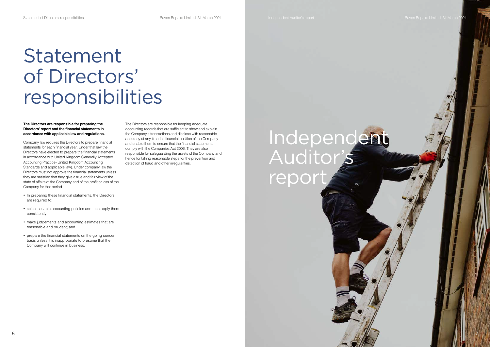# Independent Auditor's report

# Statement of Directors' responsibilities

#### **The Directors are responsible for preparing the Directors' report and the financial statements in accordance with applicable law and regulations.**

Company law requires the Directors to prepare financial statements for each financial year. Under that law the Directors have elected to prepare the financial statements in accordance with United Kingdom Generally Accepted Accounting Practice (United Kingdom Accounting Standards and applicable law). Under company law the Directors must not approve the financial statements unless they are satisfied that they give a true and fair view of the state of affairs of the Company and of the profit or loss of the Company for that period.

- In preparing these financial statements, the Directors are required to:
- select suitable accounting policies and then apply them consistently;
- make judgements and accounting estimates that are reasonable and prudent; and
- prepare the financial statements on the going concern basis unless it is inappropriate to presume that the Company will continue in business.

The Directors are responsible for keeping adequate accounting records that are sufficient to show and explain the Company's transactions and disclose with reasonable accuracy at any time the financial position of the Company and enable them to ensure that the financial statements comply with the Companies Act 2006. They are also responsible for safeguarding the assets of the Company and hence for taking reasonable steps for the prevention and detection of fraud and other irregularities.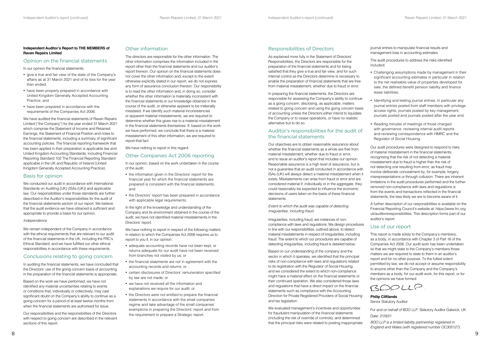#### Responsibilities of Directors

As explained more fully in the Statement of Directors' Responsibilities, the Directors are responsible for the preparation of the financial statements and for being satisfied that they give a true and fair view, and for such internal control as the Directors determine is necessary to enable the preparation of financial statements that are free from material misstatement, whether due to fraud or error.

In preparing the financial statements, the Directors are responsible for assessing the Company's ability to continue as a going concern, disclosing, as applicable, matters related to going concern and using the going concern basis of accounting unless the Directors either intend to liquidate the Company or to cease operations, or have no realistic alternative but to do so.

#### Auditor's responsibilities for the audit of the financial statements

Based on our understanding of the company and the sector in which it operates, we identified that the principal risks of non-compliance with laws and regulations related to its registration with the Regulator of Social Housing, and we considered the extent to which non-compliance might have a material effect on the financial statements or their continued operation. We also considered those laws and regulations that have a direct impact on the financial statements such as compliance with the Accounting Direction for Private Registered Providers of Social Housing and tax legislation.

Our objectives are to obtain reasonable assurance about whether the financial statements as a whole are free from material misstatement, whether due to fraud or error, and to issue an auditor's report that includes our opinion. Reasonable assurance is a high level of assurance, but is not a guarantee that an audit conducted in accordance with ISAs (UK) will always detect a material misstatement when it exists. Misstatements can arise from fraud or error and are considered material if, individually or in the aggregate, they could reasonably be expected to influence the economic decisions of users taken on the basis of these financial statements.

*Extent to which the audit was capable of detecting irregularities, including fraud*

- Challenging assumptions made by management in their significant accounting estimates in particular in relation to the net realisable value of properties developed for sale, the defined benefit pension liability and finance lease liabilities;
- Identifying and testing journal entries, in particular any journal entries posted from staff members with privilege access rights, journals posted by key management, journals posted and journals posted after the year end.
- Reading minutes of meetings of those charged with governance, reviewing internal audit reports and reviewing correspondence with HMRC and the Regulator of Social Housing.

Irregularities, including fraud, are instances of noncompliance with laws and regulations. We design procedures in line with our responsibilities, outlined above, to detect material misstatements in respect of irregularities, including fraud. The extent to which our procedures are capable of detecting irregularities, including fraud is detailed below:

We evaluated management's incentives and opportunities for fraudulent manipulation of the financial statements (including the risk of override of controls), and determined that the principal risks were related to posting inappropriate

journal entries to manipulate financial results and management bias in accounting estimates.

The audit procedures to address the risks identified included:

Our audit procedures were designed to respond to risks of material misstatement in the financial statements, recognising that the risk of not detecting a material misstatement due to fraud is higher than the risk of not detecting one resulting from error, as fraud may involve deliberate concealment by, for example, forgery, misrepresentations or through collusion. There are inherent limitations in the audit procedures performed and the further removed non-compliance with laws and regulations is from the events and transactions reflected in the financial statements, the less likely we are to become aware of it.

A further description of our responsibilities is available on the Financial Reporting Council's website at: https://www.frc.org. uk/auditorsresponsibilities. This description forms part of our auditor's report.

#### Use of our report

- the information given in the Directors' report for the financial year for which the financial statements are prepared is consistent with the financial statements; and
- the Directors' report has been prepared in accordance with applicable legal requirements.

This report is made solely to the Company's members, as a body, in accordance with Chapter 3 of Part 16 of the Companies Act 2006. Our audit work has been undertaken so that we might state to the Company's members those matters we are required to state to them in an auditor's report and for no other purpose. To the fullest extent permitted by law, we do not accept or assume responsibility to anyone other than the Company and the Company's members as a body, for our audit work, for this report, or for the opinions we have formed.

BOOLLP

**Philip Cliftlands** Senior Statutory Auditor

For and on behalf of BDO LLP, Statutory Auditor Gatwick, UK Date: 21/9/21

- adequate accounting records have not been kept, or returns adequate for our audit have not been received from branches not visited by us; or
- the financial statements are not in agreement with the accounting records and returns; or
- • certain disclosures of Directors' remuneration specified by law are not made; or
- • we have not received all the information and explanations we require for our audit; or
- the Directors were not entitled to prepare the financial statements in accordance with the small companies regime and take advantage of the small companies' exemptions in preparing the Directors' report and from the requirement to prepare a Strategic report.

*BDO LLP is a limited liability partnership registered in England and Wales (with registered number OC305127).*

#### **Independent Auditor's Report to THE MEMBERS of Raven Repairs Limited**

#### Opinion on the financial statements

In our opinion the financial statements:

- • give a true and fair view of the state of the Company's affairs as at 31 March 2021 and of its loss for the year then ended;
- have been properly prepared in accordance with United Kingdom Generally Accepted Accounting Practice; and
- have been prepared in accordance with the requirements of the Companies Act 2006.

We have audited the financial statements of Raven Repairs Limited ("the Company") for the year ended 31 March 2021 which comprise the Statement of Income and Retained Earnings, the Statement of Financial Position and notes to the financial statements, including a summary of significant accounting policies. The financial reporting framework that has been applied in their preparation is applicable law and United Kingdom Accounting Standards, including Financial Reporting Standard 102 The Financial Reporting Standard applicable in the UK and Republic of Ireland (United Kingdom Generally Accepted Accounting Practice).

#### Basis for opinion

We conducted our audit in accordance with International Standards on Auditing (UK) (ISAs (UK)) and applicable law. Our responsibilities under those standards are further described in the Auditor's responsibilities for the audit of the financial statements section of our report. We believe that the audit evidence we have obtained is sufficient and appropriate to provide a basis for our opinion.

#### *Independence*

We remain independent of the Company in accordance with the ethical requirements that are relevant to our audit of the financial statements in the UK, including the FRC's Ethical Standard, and we have fulfilled our other ethical responsibilities in accordance with these requirements.

#### Conclusions relating to going concern

In auditing the financial statements, we have concluded that the Directors' use of the going concern basis of accounting in the preparation of the financial statements is appropriate.

Based on the work we have performed, we have not identified any material uncertainties relating to events or conditions that, individually or collectively, may cast significant doubt on the Company's ability to continue as a going concern for a period of at least twelve months from when the financial statements are authorised for issue.

Our responsibilities and the responsibilities of the Directors with respect to going concern are described in the relevant sections of this report.

#### Other information

The directors are responsible for the other information. The other information comprises the information included in the report other than the financial statements and our auditor's report thereon. Our opinion on the financial statements does not cover the other information and, except to the extent otherwise explicitly stated in our report, we do not express any form of assurance conclusion thereon. Our responsibility is to read the other information and, in doing so, consider whether the other information is materially inconsistent with the financial statements or our knowledge obtained in the course of the audit, or otherwise appears to be materially misstated. If we identify such material inconsistencies or apparent material misstatements, we are required to determine whether this gives rise to a material misstatement in the financial statements themselves. If, based on the work we have performed, we conclude that there is a material misstatement of this other information, we are required to report that fact.

We have nothing to report in this regard.

#### Other Companies Act 2006 reporting

In our opinion, based on the work undertaken in the course of the audit:

In the light of the knowledge and understanding of the Company and its environment obtained in the course of the audit, we have not identified material misstatements in the Directors' report.

We have nothing to report in respect of the following matters in relation to which the Companies Act 2006 requires us to report to you if, in our opinion: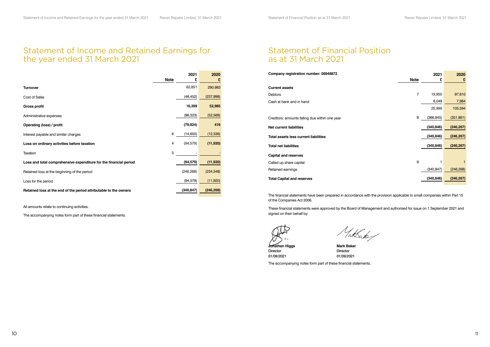### Statement of Financial Position as at 31 March 2021

| 2020       | 2021       |      |
|------------|------------|------|
| £          | £          | Note |
|            |            |      |
| 97,610     | 19,950     | 7    |
| 7,984      | 6,049      |      |
| 105,594    | 25,999     |      |
| (351, 861) | (366, 845) | 8    |
| (246, 267) | (340, 846) |      |
| (246, 267) | (340, 846) |      |
| (246, 267) | (340, 846) |      |
|            |            |      |
| 1          | 1          | 9    |
| (246, 268) | (340, 847) |      |
| (246, 267) | (340, 846) |      |
|            |            |      |

| Company registration number: 08948872          |                | 2021       | 2020       |
|------------------------------------------------|----------------|------------|------------|
|                                                | <b>Note</b>    | £          | £          |
| <b>Current assets</b>                          |                |            |            |
| <b>Debtors</b>                                 | $\overline{7}$ | 19,950     | 97,610     |
| Cash at bank and in hand                       |                | 6,049      | 7,984      |
|                                                |                | 25,999     | 105,594    |
| Creditors: amounts falling due within one year | 8              | (366, 845) | (351, 861) |
| <b>Net current liabilities</b>                 |                | (340, 846) | (246, 267) |
| <b>Total assets less current liabilities</b>   |                | (340, 846) | (246, 267) |
| <b>Total net liabilities</b>                   |                | (340, 846) | (246, 267) |
| <b>Capital and reserves</b>                    |                |            |            |
| Called up share capital                        | 9              | 1          |            |
| Retained earnings                              |                | (340, 847) | (246, 268) |
| <b>Total Capital and reserves</b>              |                | (340, 846) | (246, 267) |
|                                                |                |            |            |
|                                                |                |            |            |

The financial statements have been prepared in accordance with the provision applicable to small companies within Part 15 of the Companies Act 2006.

These financial statements were approved by the Board of Management and authorised for issue on 1 September 2021 and signed on their behalf by:

**Jonathan Higgs Mark Baker**

Vakbate

Director Director 01/09/2021 01/09/2021

The accompanying notes form part of these financial statements.

### Statement of Income and Retained Earnings for the year ended 31 March 2021

|                                                                   |             | 2021       | 2020       |
|-------------------------------------------------------------------|-------------|------------|------------|
|                                                                   | <b>Note</b> | £          | £          |
| <b>Turnover</b>                                                   |             | 62,851     | 290,983    |
| <b>Cost of Sales</b>                                              |             | (46, 452)  | (237, 998) |
| <b>Gross profit</b>                                               |             | 16,399     | 52,985     |
| Administrative expenses                                           |             | (96, 323)  | (52, 569)  |
| Operating (loss) / profit                                         |             | (79, 924)  | 416        |
| Interest payable and similar charges                              | 6           | (14, 655)  | (12, 336)  |
| Loss on ordinary activities before taxation                       | 4           | (94, 579)  | (11, 920)  |
| Taxation                                                          | 5           |            |            |
| Loss and total comprehensive expenditure for the financial period |             | (94, 579)  | (11, 920)  |
| Retained loss at the beginning of the period                      |             | (246, 268) | (234, 348) |
| Loss for the period                                               |             | (94, 579)  | (11,920)   |
| Retained loss at the end of the period attributable to the owners |             | (340, 847) | (246, 268) |

All amounts relate to continuing activities.

The accompanying notes form part of these financial statements.

**Contract Contract**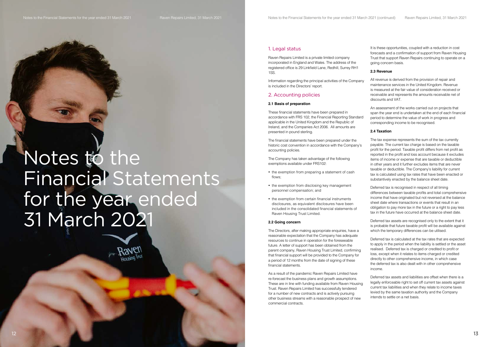# Notes to the Financial Statements for the year ended 31 March 2021

#### 1. Legal status

Raven Repairs Limited is a private limited company incorporated in England and Wales. The address of the registered office is 29 Linkfield Lane, Redhill, Surrey RH1 1SS.

Information regarding the principal activities of the Company is included in the Directors' report.

#### 2. Accounting policies

#### **2.1 Basis of preparation**

- the exemption from preparing a statement of cash flows;
- the exemption from disclosing key management personnel compensation; and
- the exemption from certain financial instruments disclosures, as equivalent disclosures have been included in the consolidated financial statements of Raven Housing Trust Limited.

These financial statements have been prepared in accordance with FRS 102, the Financial Reporting Standard applicable in the United Kingdom and the Republic of Ireland, and the Companies Act 2006. All amounts are presented in pound sterling.

The financial statements have been prepared under the historic cost convention in accordance with the Company's accounting policies.

The Company has taken advantage of the following exemptions available under FRS102:

#### **2.2 Going concern**

The Directors, after making appropriate enquiries, have a reasonable expectation that the Company has adequate resources to continue in operation for the foreseeable future. A letter of support has been obtained from the parent company, Raven Housing Trust Limited, confirming that financial support will be provided to the Company for a period of 12 months from the date of signing of these financial statements.

As a result of the pandemic Raven Repairs Limited have re-forecast the business plans and growth assumptions. These are in line with funding available from Raven Housing Trust. Raven Repairs Limited has successfully tendered for a number of new contracts and is actively pursuing other business streams with a reasonable prospect of new commercial contracts.

It is these opportunities, coupled with a reduction in cost forecasts and a confirmation of support from Raven Housing Trust that support Raven Repairs continuing to operate on a going concern basis.

#### **2.3 Revenue**

All revenue is derived from the provision of repair and maintenance services in the United Kingdom. Revenue is measured at the fair value of consideration received or receivable and represents the amounts receivable net of discounts and VAT.

An assessment of the works carried out on projects that span the year end is undertaken at the end of each financial period to determine the value of work in progress and corresponding income to be recognised.

#### **2.4 Taxation**

The tax expense represents the sum of the tax currently payable. The current tax charge is based on the taxable profit for the period. Taxable profit differs from net profit as reported in the profit and loss account because it excludes items of income or expense that are taxable or deductible in other years and it further excludes items that are never taxable or deductible. The Company's liability for current tax is calculated using tax rates that have been enacted or substantively enacted by the balance sheet date.

Deferred tax is recognised in respect of all timing differences between taxable profits and total comprehensive income that have originated but not reversed at the balance sheet date where transactions or events that result in an obligation to pay more tax in the future or a right to pay less tax in the future have occurred at the balance sheet date.

Deferred tax assets are recognised only to the extent that it is probable that future taxable profit will be available against which the temporary differences can be utilised.

Deferred tax is calculated at the tax rates that are expected to apply in the period when the liability is settled or the asset realised. Deferred tax is charged or credited to profit or loss, except when it relates to items charged or credited directly to other comprehensive income, in which case the deferred tax is also dealt with in other comprehensive income.

Deferred tax assets and liabilities are offset when there is a legally enforceable right to set off current tax assets against current tax liabilities and when they relate to income taxes levied by the same taxation authority and the Company intends to settle on a net basis.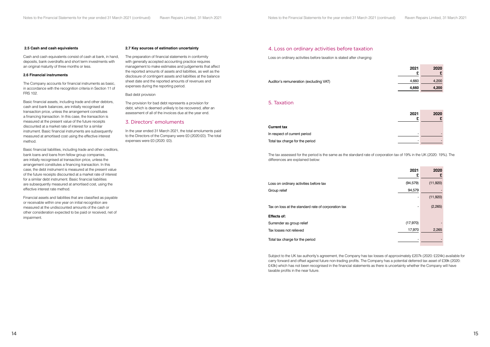#### 4. Loss on ordinary activities before taxation

Loss on ordinary activities before taxation is stated after charging:

Auditor's remuneration (excluding VAT)

| 2020<br>£ | 2021<br>£ |
|-----------|-----------|
| 4,200     | 4,660     |
| 4,200     | 4,660     |

#### 5. Taxation

| 2021 | 2020 |
|------|------|
| £    | £    |
|      |      |
|      |      |
|      |      |
|      |      |
|      |      |

#### **Current tax**

In respect of current period Total tax charge for the period

The tax assessed for the period is the same as the standard rate of corporation tax of 19% in the UK (2020: 19%). The differences are explained below:

|                                                     | 2021<br>£ | 2020<br>£ |
|-----------------------------------------------------|-----------|-----------|
| Loss on ordinary activities before tax              | (94, 579) | (11,920)  |
| Group relief                                        | 94,579    |           |
|                                                     |           | (11,920)  |
| Tax on loss at the standard rate of corporation tax |           | (2,265)   |
| Effects of:                                         |           |           |
| Surrender as group relief                           | (17, 970) |           |
| Tax losses not relieved                             | 17,970    | 2,265     |
| Total tax charge for the period                     |           |           |

**Effects of:**

Subject to the UK tax authority's agreement, the Company has tax losses of approximately £207k (2020: £224k) available for carry forward and offset against future non-trading profits. The Company has a potential deferred tax asset of £39k (2020: £43k) which has not been recognised in the financial statements as there is uncertainty whether the Company will have taxable profits in the near future.

#### **2.5 Cash and cash equivalents**

Cash and cash equivalents consist of cash at bank, in hand, deposits, bank overdrafts and short term investments with an original maturity of three months or less.

#### **2.6 Financial instruments**

The Company accounts for financial instruments as basic, in accordance with the recognition criteria in Section 11 of FRS 102.

Basic financial assets, including trade and other debtors, cash and bank balances, are initially recognised at transaction price, unless the arrangement constitutes a financing transaction. In this case, the transaction is measured at the present value of the future receipts discounted at a market rate of interest for a similar instrument. Basic financial instruments are subsequently measured at amortised cost using the effective interest method.

Basic financial liabilities, including trade and other creditors, bank loans and loans from fellow group companies, are initially recognised at transaction price, unless the arrangement constitutes a financing transaction. In this case, the debt instrument is measured at the present value of the future receipts discounted at a market rate of interest for a similar debt instrument. Basic financial liabilities are subsequently measured at amortised cost, using the effective interest rate method.

Financial assets and liabilities that are classified as payable or receivable within one year on initial recognition are measured at the undiscounted amounts of the cash or other consideration expected to be paid or received, net of impairment.

#### **2.7 Key sources of estimation uncertainty**

The preparation of financial statements in conformity with generally accepted accounting practice requires management to make estimates and judgements that affect the reported amounts of assets and liabilities, as well as the disclosure of contingent assets and liabilities at the balance sheet date and the reported amounts of revenues and expenses during the reporting period.

Bad debt provision

The provision for bad debt represents a provision for debt, which is deemed unlikely to be recovered, after an assessment of all of the invoices due at the year end.

#### 3. Directors' emoluments

In the year ended 31 March 2021, the total emoluments paid to the Directors of the Company were £0 (2020:£0). The total expenses were £0 (2020: £0).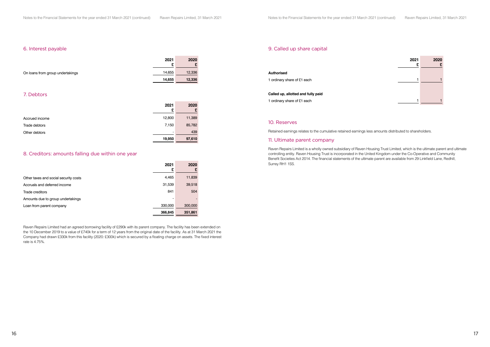#### 9. Called up share capital



|                                                                                                         | £ |  |
|---------------------------------------------------------------------------------------------------------|---|--|
| <b>Authorised</b>                                                                                       |   |  |
| 1 ordinary share of £1 each                                                                             |   |  |
| Called up, allotted and fully paid                                                                      |   |  |
|                                                                                                         |   |  |
| 1 ordinary share of £1 each                                                                             |   |  |
|                                                                                                         |   |  |
| 10. Reserves                                                                                            |   |  |
| Retained earnings relates to the cumulative retained earnings less amounts distributed to shareholders. |   |  |
| 11. Ultimate parent company                                                                             |   |  |

Raven Repairs Limited is a wholly owned subsidiary of Raven Housing Trust Limited, which is the ultimate parent and ultimate controlling entity. Raven Housing Trust is incorporated in the United Kingdom under the Co-Operative and Community Benefit Societies Act 2014. The financial statements of the ultimate parent are available from 29 Linkfield Lane, Redhill, Surrey RH1 1SS.

#### 6. Interest payable

|                                  | 2021<br>c | 2020<br>⊷ |
|----------------------------------|-----------|-----------|
| On loans from group undertakings | 14,655    | 12,336    |
|                                  | 14,655    | 12,336    |

#### 7. Debtors

|                | 2021<br>£ | 2020<br>£ |
|----------------|-----------|-----------|
| Accrued income | 12,800    | 11,389    |
| Trade debtors  | 7,150     | 85,782    |
| Other debtors  | ٠         | 439       |
|                | 19,950    | 97,610    |

#### 8. Creditors: amounts falling due within one year

|                                       | 2021<br>£ | 2020<br>£                |
|---------------------------------------|-----------|--------------------------|
| Other taxes and social security costs | 4,465     | 11,839                   |
| Accruals and deferred income          | 31,539    | 39,518                   |
| Trade creditors                       | 841       | 504                      |
| Amounts due to group undertakings     |           | $\overline{\phantom{a}}$ |
| Loan from parent company              | 330,000   | 300,000                  |
|                                       | 366,845   | 351,861                  |

Raven Repairs Limited had an agreed borrowing facility of £290k with its parent company. The facility has been extended on the 10 December 2019 to a value of £740k for a term of 12 years from the original date of the facility. As at 31 March 2021 the Company had drawn £330k from this facility (2020: £300k) which is secured by a floating charge on assets. The fixed interest rate is 4.75%.